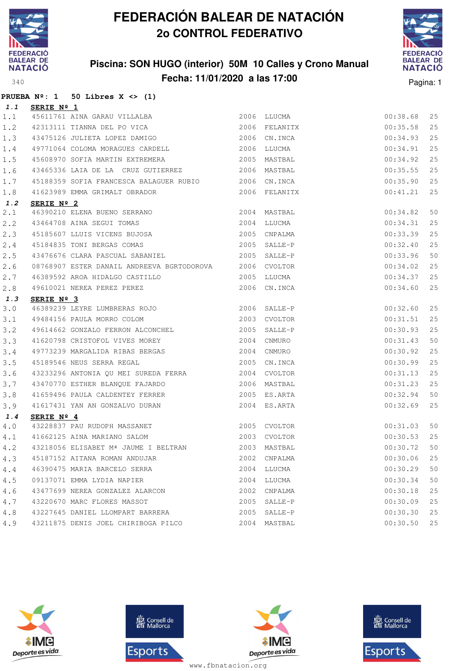

### **Piscina: SON HUGO (interior) 50M 10 Calles y Crono Manual Fecha: 11/01/2020 a las 17:00** Pagina: 1



|       | PRUEBA $N^2$ : 1 50 Libres X <> (1)                                                                                                                                        |              |              |                                |    |
|-------|----------------------------------------------------------------------------------------------------------------------------------------------------------------------------|--------------|--------------|--------------------------------|----|
| 1.1   | <b>SERIE Nº 1</b>                                                                                                                                                          |              |              |                                |    |
| 1.1   | 45611761 AINA GARAU VILLALBA<br>42313111 TIANNA DEL PO VICA 2006 EELANITX                                                                                                  |              |              | 00:38.68                       | 25 |
| 1.2   |                                                                                                                                                                            |              |              | 00:35.58                       | 25 |
| 1.3   | 43475126 JULIETA LOPEZ DAMIGO 2006 CN.INCA                                                                                                                                 |              |              | 00:34.93                       | 25 |
| $1.4$ | 49771064 COLOMA MORAGUES CARDELL 2006 LLUCMA                                                                                                                               |              |              | 00:34.91                       | 25 |
| 1.5   | 45608970 SOFIA MARTIN EXTREMERA 2005 MASTBAL                                                                                                                               |              |              | 00:34.92                       | 25 |
| 1.6   | 43465336 LAIA DE LA CRUZ GUTIERREZ 2006 MASTBAL                                                                                                                            |              |              | 00:35.55                       | 25 |
| $1.7$ | 45188359 SOFIA FRANCESCA BALAGUER RUBIO 2006 CN.INCA                                                                                                                       |              |              | 00:35.90                       | 25 |
| 1.8   | 41623989 EMMA GRIMALT OBRADOR 2006 FELANITX                                                                                                                                |              |              | 00:41.21                       | 25 |
| 1.2   | SERIE Nº 2                                                                                                                                                                 |              |              |                                |    |
| 2.1   |                                                                                                                                                                            |              |              | 00:34.82                       | 50 |
| 2.2   |                                                                                                                                                                            |              |              | 00:34.31                       | 25 |
| 2.3   | 46390210 ELENA BUENO SERRANO 2004 MASTBAL<br>43464708 AINA SEGUI TOMAS 2004 LLUCMA<br>45185607 LLUIS VICENS BUJOSA 2005 CNPALMA<br>45184835 TONI BERGAS COMAS 2005 SALLE-P |              |              | 00:33.39                       | 25 |
| 2.4   |                                                                                                                                                                            |              |              | 00:32.40                       | 25 |
| 2.5   | 43476676 CLARA PASCUAL SABANIEL 2005 SALLE-P                                                                                                                               |              |              | 00:33.96                       | 50 |
| 2.6   | 08768907 ESTER DANAIL ANDREEVA BGRTODOROVA 2006 CVOLTOR                                                                                                                    |              |              | 00:34.02                       | 25 |
| 2.7   |                                                                                                                                                                            |              |              | 00:34.37                       | 25 |
| 2.8   |                                                                                                                                                                            |              |              | 00:34.60                       | 25 |
| 1.3   | SERIE $N^{\circ}$ 3                                                                                                                                                        |              |              |                                |    |
| 3.0   | 46389239 LEYRE LUMBRERAS ROJO 2006 SALLE-P                                                                                                                                 |              |              | 00:32.60                       | 25 |
| 3.1   | 49484156 PAULA MORRO COLOM 2003 CVOLTOR                                                                                                                                    |              |              | 00:31.51                       | 25 |
| 3.2   | 49614662 GONZALO FERRON ALCONCHEL 2005 SALLE-P                                                                                                                             |              |              | 00:30.93                       | 25 |
| 3.3   | 41620798 CRISTOFOL VIVES MOREY 2004 CNMURO                                                                                                                                 |              |              | 00:31.43                       | 50 |
| 3.4   | 49773239 MARGALIDA RIBAS BERGAS 2004 CNMURO                                                                                                                                |              |              | 00:30.92                       | 25 |
| 3.5   | 45189546 NEUS SERRA REGAL 2005 CN.INCA                                                                                                                                     |              |              | 00:30.99                       | 25 |
| 3.6   |                                                                                                                                                                            |              |              | 00:31.13                       | 25 |
| 3.7   | 43233296 ANTONIA QU MEI SUREDA FERRA 2004 CVOLTOR<br>43470770 ESTHER BLANQUE FAJARDO 2006 MASTBAL                                                                          |              |              | 00:31.23                       | 25 |
| 3.8   | 41659496 PAULA CALDENTEY FERRER 2005 ES.ARTA                                                                                                                               |              |              | 00:32.94                       | 50 |
| 3.9   | 41617431 YAN AN GONZALVO DURAN 2004 ES.ARTA                                                                                                                                |              |              | 00:32.69                       | 25 |
| 1.4   | SERIE $N^{\circ}$ 4                                                                                                                                                        |              |              |                                |    |
| 4.0   | 43228837 PAU RUDOPH MASSANET<br>41662125 AINA MARIANO SALOM (2003 CVOLTOR                                                                                                  |              |              | 00:31.03                       | 50 |
| 4.1   |                                                                                                                                                                            |              |              | $00:30.53$ 25<br>$00:30.72$ 50 |    |
| 4.2   | 43218056 ELISABET Mª JAUME I BELTRAN 7003 MASTBAL                                                                                                                          |              |              |                                |    |
| 4.3   | 45187152 AITANA ROMAN ANDUJAR                                                                                                                                              |              | 2002 CNPALMA | 00:30.06                       | 25 |
| 4.4   | 46390475 MARIA BARCELO SERRA                                                                                                                                               |              | 2004 LLUCMA  | 00:30.29                       | 50 |
| 4.5   | 09137071 EMMA LYDIA NAPIER                                                                                                                                                 |              | 2004 LLUCMA  | 00:30.34                       | 50 |
| 4.6   | 43477699 NEREA GONZALEZ ALARCON                                                                                                                                            |              | 2002 CNPALMA | 00:30.18                       | 25 |
| 4.7   | 43220670 MARC FLORES MASSOT                                                                                                                                                |              | 2005 SALLE-P | 00:30.09                       | 25 |
| 4.8   | 43227645 DANIEL LLOMPART BARRERA                                                                                                                                           |              | 2005 SALLE-P | 00:30.30                       | 25 |
| 4.9   | 43211875 DENIS JOEL CHIRIBOGA PILCO                                                                                                                                        | 2004 MASTBAL |              | 00:30.50 25                    |    |







**感** Consell de Esports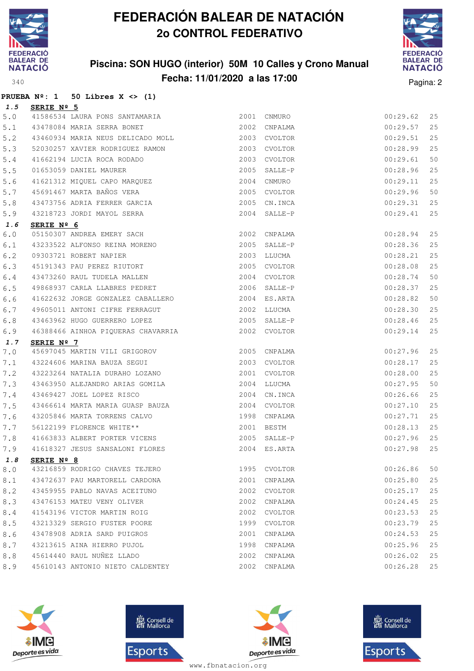

### **Piscina: SON HUGO (interior) 50M 10 Calles y Crono Manual Fecha: 11/01/2020 a las 17:00** Pagina: 2



|  |  | PRUEBA $N^{\circ}$ : 1 50 Libres X <> (1) |  |  |
|--|--|-------------------------------------------|--|--|

| 1.5 | SERIE Nº 5                                                                          |      |              |          |    |
|-----|-------------------------------------------------------------------------------------|------|--------------|----------|----|
| 5.0 | 41586534 LAURA PONS SANTAMARIA                                                      |      | 2001 CNMURO  | 00:29.62 | 25 |
| 5.1 | 43478084 MARIA SERRA BONET                                                          |      | 2002 CNPALMA | 00:29.57 | 25 |
| 5.2 | 43460934 MARIA NEUS DELICADO MOLL                                                   |      | 2003 CVOLTOR | 00:29.51 | 25 |
| 5.3 | 52030257 XAVIER RODRIGUEZ RAMON                                                     |      | 2003 CVOLTOR | 00:28.99 | 25 |
| 5.4 | 41662194 LUCIA ROCA RODADO                                                          | 2003 | CVOLTOR      | 00:29.61 | 50 |
| 5.5 |                                                                                     | 2005 | SALLE-P      | 00:28.96 | 25 |
| 5.6 | 01653059 DANIEL MAURER<br>41621312 MIQUEL CAPO MARQUEZ<br>45691467 MARTA BAÑOS VERA | 2004 | CNMURO       | 00:29.11 | 25 |
| 5.7 |                                                                                     |      | 2005 CVOLTOR | 00:29.96 | 50 |
| 5.8 | 43473756 ADRIA FERRER GARCIA                                                        | 2005 | CN.INCA      | 00:29.31 | 25 |
| 5.9 | 43218723 JORDI MAYOL SERRA                                                          | 2004 | SALLE-P      | 00:29.41 | 25 |
| 1.6 | SERIE Nº 6                                                                          |      |              |          |    |
| 6.0 |                                                                                     |      | 2002 CNPALMA | 00:28.94 | 25 |
| 6.1 | 05150307 ANDREA EMERY SACH<br>43233522 ALFONSO REINA MORENO                         |      | 2005 SALLE-P | 00:28.36 | 25 |
| 6.2 | 09303721 ROBERT NAPIER                                                              |      | 2003 LLUCMA  | 00:28.21 | 25 |
| 6.3 | 45191343 PAU PEREZ RIUTORT                                                          |      | 2005 CVOLTOR | 00:28.08 | 25 |
| 6.4 | 43473260 RAUL TUDELA MALLEN                                                         |      | 2004 CVOLTOR | 00:28.74 | 50 |
| 6.5 | 49868937 CARLA LLABRES PEDRET                                                       |      | 2006 SALLE-P | 00:28.37 | 25 |
| 6.6 | 41622632 JORGE GONZALEZ CABALLERO                                                   |      | 2004 ES.ARTA | 00:28.82 | 50 |
| 6.7 | 49605011 ANTONI CIFRE FERRAGUT                                                      |      | 2002 LLUCMA  | 00:28.30 | 25 |
| 6.8 | 43463962 HUGO GUERRERO LOPEZ                                                        |      | 2005 SALLE-P | 00:28.46 | 25 |
| 6.9 | 46388466 AINHOA PIQUERAS CHAVARRIA                                                  |      | 2002 CVOLTOR | 00:29.14 | 25 |
| 1.7 | SERIE Nº 7                                                                          |      |              |          |    |
| 7.0 | 45697045 MARTIN VILI GRIGOROV                                                       |      | 2005 CNPALMA | 00:27.96 | 25 |
| 7.1 | 43224606 MARINA BAUZA SEGUI                                                         |      | 2003 CVOLTOR | 00:28.17 | 25 |
| 7.2 | 43223264 NATALIA DURAHO LOZANO                                                      |      | 2001 CVOLTOR | 00:28.00 | 25 |
| 7.3 | 43463950 ALEJANDRO ARIAS GOMILA                                                     |      | 2004 LLUCMA  | 00:27.95 | 50 |
| 7.4 | 43469427 JOEL LOPEZ RISCO                                                           |      | 2004 CN.INCA | 00:26.66 | 25 |
| 7.5 | 43466614 MARTA MARIA GUASP BAUZA                                                    |      | 2004 CVOLTOR | 00:27.10 | 25 |
| 7.6 |                                                                                     |      | 1998 CNPALMA | 00:27.71 | 25 |
| 7.7 | 43205846 MARTA TORRENS CALVO<br>56122199 FLORENCE WHITE**                           |      | 2001 BESTM   | 00:28.13 | 25 |
| 7.8 | 41663833 ALBERT PORTER VICENS                                                       |      | 2005 SALLE-P | 00:27.96 | 25 |
| 7.9 | 41618327 JESUS SANSALONI FLORES                                                     |      | 2004 ES.ARTA | 00:27.98 | 25 |
|     | 1.8 SERIE Nº 8                                                                      |      |              |          |    |
| 8.0 | 43216859 RODRIGO CHAVES TEJERO                                                      |      | 1995 CVOLTOR | 00:26.86 | 50 |
| 8.1 | 43472637 PAU MARTORELL CARDONA                                                      | 2001 | CNPALMA      | 00:25.80 | 25 |
| 8.2 | 43459955 PABLO NAVAS ACEITUNO                                                       | 2002 | CVOLTOR      | 00:25.17 | 25 |
| 8.3 | 43476153 MATEU VENY OLIVER                                                          | 2002 | CNPALMA      | 00:24.45 | 25 |
| 8.4 | 41543196 VICTOR MARTIN ROIG                                                         | 2002 | CVOLTOR      | 00:23.53 | 25 |
| 8.5 | 43213329 SERGIO FUSTER POORE                                                        | 1999 | CVOLTOR      | 00:23.79 | 25 |
| 8.6 | 43478908 ADRIA SARD PUIGROS                                                         | 2001 | CNPALMA      | 00:24.53 | 25 |
| 8.7 | 43213615 AINA HIERRO PUJOL                                                          |      | 1998 CNPALMA | 00:25.96 | 25 |
| 8.8 | 45614440 RAUL NUÑEZ LLADO                                                           |      | 2002 CNPALMA | 00:26.02 | 25 |
|     | 45610143 ANTONIO NIETO CALDENTEY                                                    | 2002 | CNPALMA      | 00:26.28 | 25 |







**感** Consell de Esports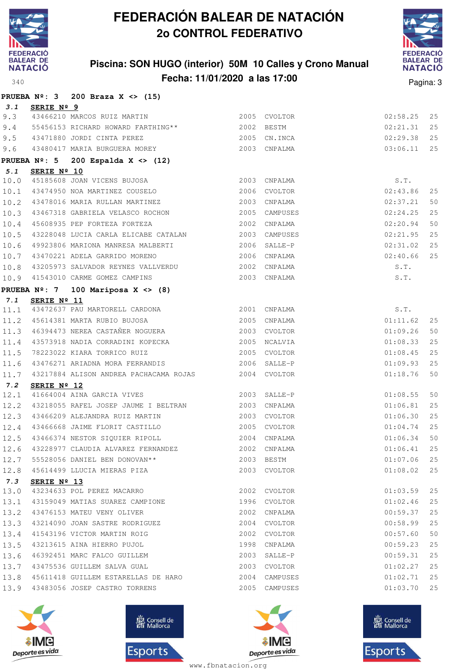

### **Piscina: SON HUGO (interior) 50M 10 Calles y Crono Manual Fecha: 11/01/2020 a las 17:00** Pagina: 3



|      |             | PRUEBA $N^{\circ}$ : 3 200 Braza X <> (15)                       |                |               |          |    |
|------|-------------|------------------------------------------------------------------|----------------|---------------|----------|----|
| 3.1  | SERIE Nº 9  |                                                                  |                |               |          |    |
| 9.3  |             | 43466210 MARCOS RUIZ MARTIN 2005 CVOLTOR                         |                |               | 02:58.25 | 25 |
| 9.4  |             | 55456153 RICHARD HOWARD FARTHING** 2002 BESTM                    |                |               | 02:21.31 | 25 |
| 9.5  |             | 43471880 JORDI CINTA PEREZ                                       | 2005 CN.INCA   |               | 02:29.38 | 25 |
| 9.6  |             | 43480417 MARIA BURGUERA MOREY 2003 CNPALMA                       |                |               | 03:06.11 | 25 |
|      |             | PRUEBA $N^{\circ}$ : 5 200 Espalda X <> (12)                     |                |               |          |    |
| 5.1  | SERIE Nº 10 |                                                                  |                |               |          |    |
| 10.0 |             | 45185608 JOAN VICENS BUJOSA                                      |                | 2003 CNPALMA  | S.T.     |    |
| 10.1 |             | 43474950 NOA MARTINEZ COUSELO                                    | 2006 CVOLTOR   |               | 02:43.86 | 25 |
| 10.2 |             | 43478016 MARIA RULLAN MARTINEZ                                   |                | 2003 CNPALMA  | 02:37.21 | 50 |
| 10.3 |             | 43467318 GABRIELA VELASCO ROCHON 2005 CAMPUSES                   |                |               | 02:24.25 | 25 |
| 10.4 |             | 45608935 PEP FORTEZA FORTEZA                                     | 2002 CNPALMA   |               | 02:20.94 | 50 |
| 10.5 |             | 43228048 LUCIA CARLA ELICABE CATALAN 2003 CAMPUSES               |                |               | 02:21.95 | 25 |
| 10.6 |             | 49923806 MARIONA MANRESA MALBERTI 40006 SALLE-P                  |                |               | 02:31.02 | 25 |
| 10.7 |             | 43470221 ADELA GARRIDO MORENO                                    | 2006 CNPALMA   |               | 02:40.66 | 25 |
| 10.8 |             |                                                                  |                |               | S.T.     |    |
| 10.9 |             | 41543010 CARME GOMEZ CAMPINS 2003 CNPALMA                        |                |               | S.T.     |    |
|      |             | PRUEBA $N^{\circ}$ : 7 100 Mariposa X <> (8)                     |                |               |          |    |
| 7.1  | SERIE Nº 11 |                                                                  |                |               |          |    |
| 11.1 |             | 43472637 PAU MARTORELL CARDONA 2001 CNPALMA                      |                |               | S.T.     |    |
|      |             |                                                                  |                |               | 01:11.62 | 25 |
|      |             |                                                                  |                |               | 01:09.26 | 50 |
| 11.4 |             | 43573918 NADIA CORRADINI KOPECKA 2005 NCALVIA                    |                |               | 01:08.33 | 25 |
| 11.5 |             | 2005 CVOLTOR<br>78223022 KIARA TORRICO RUIZ                      |                |               | 01:08.45 | 25 |
| 11.6 |             | 43476271 ARIADNA MORA FERRANDIS 2006 SALLE-P                     |                |               | 01:09.93 | 25 |
| 11.7 |             | 43217884 ALISON ANDREA PACHACAMA ROJAS 2004 CVOLTOR              |                |               | 01:18.76 | 50 |
| 7.2  | SERIE Nº 12 |                                                                  |                |               |          |    |
| 12.1 |             | 41664004 AINA GARCIA VIVES                                       | $2003$ SALLE-P |               | 01:08.55 | 50 |
| 12.2 |             | 43218055 RAFEL JOSEP JAUME I BELTRAN 2003 CNPALMA                |                |               | 01:06.81 | 25 |
| 12.3 |             | 43466209 ALEJANDRA RUIZ MARTIN                                   |                | 2003 CVOLTOR  | 01:06.30 | 25 |
| 12.4 |             | 43466668 JAIME FLORIT CASTILLO                                   | 2005 CVOLTOR   |               | 01:04.74 | 25 |
| 12.5 |             | 43466374 NESTOR SIQUIER RIPOLL 2004 CNPALMA                      |                |               | 01:06.34 | 50 |
|      |             | 12.6 43228977 CLAUDIA ALVAREZ FERNANDEZ 2002 CNPALMA 61:06.41 25 |                |               |          |    |
| 12.7 |             | 55528056 DANIEL BEN DONOVAN**                                    |                | 2003 BESTM    | 01:07.06 | 25 |
| 12.8 |             | 45614499 LLUCIA MIERAS PIZA                                      |                | 2003 CVOLTOR  | 01:08.02 | 25 |
| 7.3  | SERIE Nº 13 |                                                                  |                |               |          |    |
| 13.0 |             | 43234633 POL PEREZ MACARRO                                       |                | 2002 CVOLTOR  | 01:03.59 | 25 |
| 13.1 |             | 43159049 MATIAS SUAREZ CAMPIONE                                  | 1996 CVOLTOR   |               | 01:02.46 | 25 |
| 13.2 |             | 43476153 MATEU VENY OLIVER                                       |                | 2002 CNPALMA  | 00:59.37 | 25 |
| 13.3 |             | 43214090 JOAN SASTRE RODRIGUEZ                                   |                | 2004 CVOLTOR  | 00:58.99 | 25 |
| 13.4 |             | 41543196 VICTOR MARTIN ROIG                                      |                | 2002 CVOLTOR  | 00:57.60 | 50 |
| 13.5 |             | 43213615 AINA HIERRO PUJOL                                       |                | 1998 CNPALMA  | 00:59.23 | 25 |
| 13.6 |             | 46392451 MARC FALCO GUILLEM                                      |                | 2003 SALLE-P  | 00:59.31 | 25 |
| 13.7 |             | 43475536 GUILLEM SALVA GUAL                                      |                | 2003 CVOLTOR  | 01:02.27 | 25 |
| 13.8 |             | 45611418 GUILLEM ESTARELLAS DE HARO 2004 CAMPUSES                |                |               | 01:02.71 | 25 |
| 13.9 |             | 43483056 JOSEP CASTRO TORRENS                                    |                | 2005 CAMPUSES | 01:03.70 | 25 |







**感** Consell de Esports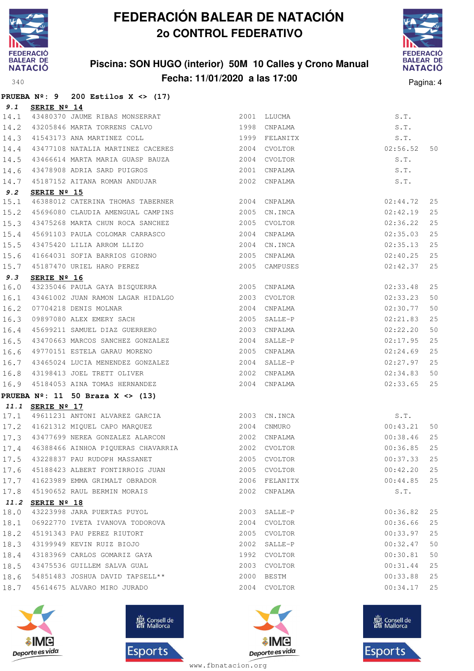

### **Piscina: SON HUGO (interior) 50M 10 Calles y Crono Manual Fecha: 11/01/2020 a las 17:00** Pagina: 4



|      |                  | PRUEBA $N^{\circ}$ : 9 200 Estilos X <> (17)                                                                                                                                                                                           |               |               |               |    |
|------|------------------|----------------------------------------------------------------------------------------------------------------------------------------------------------------------------------------------------------------------------------------|---------------|---------------|---------------|----|
| 9.1  | SERIE Nº 14      |                                                                                                                                                                                                                                        |               |               |               |    |
|      |                  | 14.1 43480370 JAUME RIBAS MONSERRAT 2001 LLUCMA                                                                                                                                                                                        |               |               | S.T.          |    |
| 14.2 |                  | 43205846 MARTA TORRENS CALVO 1998 CNPALMA                                                                                                                                                                                              |               |               | S.T.          |    |
| 14.3 |                  | 41543173 ANA MARTINEZ COLL                                                                                                                                                                                                             | 1999 FELANITX |               | S.T.          |    |
| 14.4 |                  | 43477108 NATALIA MARTINEZ CACERES 2004 CVOLTOR                                                                                                                                                                                         |               |               | 02:56.52      | 50 |
| 14.5 |                  | 43466614 MARTA MARIA GUASP BAUZA 2004                                                                                                                                                                                                  |               | CVOLTOR       | S.T.          |    |
| 14.6 |                  | 43478908 ADRIA SARD PUIGROS                                                                                                                                                                                                            | 2001          | CNPALMA       | S.T.          |    |
| 14.7 |                  | 45187152 AITANA ROMAN ANDUJAR                                                                                                                                                                                                          |               | 2002 CNPALMA  | S.T.          |    |
| 9.2  | SERIE Nº 15      |                                                                                                                                                                                                                                        |               |               |               |    |
| 15.1 |                  |                                                                                                                                                                                                                                        |               |               | 02:44.72      | 25 |
| 15.2 |                  | 45696080 CLAUDIA AMENGUAL CAMPINS 2005                                                                                                                                                                                                 |               | CN.INCA       | 02:42.19      | 25 |
| 15.3 |                  | 43475268 MARTA CHUN ROCA SANCHEZ 2005 CVOLTOR                                                                                                                                                                                          |               |               | 02:36.22      | 25 |
| 15.4 |                  |                                                                                                                                                                                                                                        |               |               | 02:35.03      | 25 |
| 15.5 |                  |                                                                                                                                                                                                                                        |               |               | 02:35.13      | 25 |
| 15.6 |                  | 45691103 PAULA COLOMAR CARRASCO<br>43475420 LILIA ARROM LLIZO 2004 CNPALMA<br>41664031 SOFIA BARRIOS GIORNO 2005 CNPALMA                                                                                                               |               |               | 02:40.25      | 25 |
| 15.7 |                  | 45187470 URIEL HARO PEREZ                                                                                                                                                                                                              |               | 2005 CAMPUSES | 02:42.37      | 25 |
| 9.3  | SERIE Nº 16      |                                                                                                                                                                                                                                        |               |               |               |    |
| 16.0 |                  | 43235046 PAULA GAYA BISQUERRA 2005 CNPALMA                                                                                                                                                                                             |               |               | 02:33.48      | 25 |
| 16.1 |                  | $\begin{tabular}{lllllllllllll} 43461002 & \text{JUAN RAMON LAGAR HIDALGO & & & & 2003 & CVOLTOR \\[2mm] 07704218 & DENIS MOLNAR & & & & 2004 & CNPALMA \\[2mm] 09897080 & ALEX EMERY SACH & & & 2005 & SALLE-P \\[2mm] \end{tabular}$ |               |               | 02:33.23      | 50 |
| 16.2 |                  |                                                                                                                                                                                                                                        |               |               | 02:30.77      | 50 |
| 16.3 |                  |                                                                                                                                                                                                                                        |               |               | 02:21.83      | 25 |
| 16.4 |                  | 45699211 SAMUEL DIAZ GUERRERO                                                                                                                                                                                                          |               | 2003 CNPALMA  | 02:22.20      | 50 |
| 16.5 |                  | 43470663 MARCOS SANCHEZ GONZALEZ                                                                                                                                                                                                       |               | 2004 SALLE-P  | 02:17.95      | 25 |
| 16.6 |                  | 49770151 ESTELA GARAU MORENO                                                                                                                                                                                                           | 2005          | CNPALMA       | 02:24.69      | 25 |
| 16.7 |                  | 43465024 LUCIA MENENDEZ GONZALEZ<br>43198413 JOEL TRETT OLIVER                                                                                                                                                                         |               | 2004 SALLE-P  | 02:27.97      | 25 |
| 16.8 |                  |                                                                                                                                                                                                                                        |               | 2002 CNPALMA  | 02:34.83      | 50 |
| 16.9 |                  | 45184053 AINA TOMAS HERNANDEZ 2004                                                                                                                                                                                                     |               | CNPALMA       | 02:33.65      | 25 |
|      |                  | PRUEBA $N^{\circ}$ : 11 50 Braza X <> (13)                                                                                                                                                                                             |               |               |               |    |
|      | 11.1 SERIE Nº 17 |                                                                                                                                                                                                                                        |               |               |               |    |
|      |                  | 17.1 49611231 ANTONI ALVAREZ GARCIA 2003 CN.INCA                                                                                                                                                                                       |               |               | S.T.          |    |
|      |                  | 17.2 41621312 MIQUEL CAPO MARQUEZ                                                                                                                                                                                                      | 2004 CNMURO   |               | 00:43.21      | 50 |
|      |                  | 17.3 43477699 NEREA GONZALEZ ALARCON 2002 CNPALMA                                                                                                                                                                                      |               |               | 00:38.46      | 25 |
|      |                  | 17.4 46388466 AINHOA PIQUERAS CHAVARRIA 2002 CVOLTOR 600:36.85 25                                                                                                                                                                      |               |               |               |    |
|      |                  | 17.5 43228837 PAU RUDOPH MASSANET                                                                                                                                                                                                      |               | 2005 CVOLTOR  | 00:37.33 25   |    |
|      |                  | 17.6 45188423 ALBERT FONTIRROIG JUAN 2005 CVOLTOR                                                                                                                                                                                      |               |               | $00:42.20$ 25 |    |
|      |                  | $17.7$ 41623989 EMMA GRIMALT OBRADOR $2006$ FELANITX                                                                                                                                                                                   |               |               | $00:44.85$ 25 |    |
| 17.8 |                  | 45190652 RAUL BERMIN MORAIS                                                                                                                                                                                                            |               | 2002 CNPALMA  | S.T.          |    |
|      | 11.2 SERIE Nº 18 |                                                                                                                                                                                                                                        |               |               |               |    |
| 18.0 |                  | 43223998 JARA PUERTAS PUYOL                                                                                                                                                                                                            |               | 2003 SALLE-P  | 00:36.82      | 25 |
| 18.1 |                  | 06922770 IVETA IVANOVA TODOROVA                                                                                                                                                                                                        |               | 2004 CVOLTOR  | 00:36.66      | 25 |
| 18.2 |                  | 45191343 PAU PEREZ RIUTORT                                                                                                                                                                                                             |               | 2005 CVOLTOR  | 00:33.97      | 25 |
|      |                  | 18.3 43199949 KEVIN RUIZ BIOJO                                                                                                                                                                                                         |               | 2002 SALLE-P  | 00:32.47      | 50 |
| 18.4 |                  | 43183969 CARLOS GOMARIZ GAYA                                                                                                                                                                                                           |               | 1992 CVOLTOR  | 00:30.81      | 50 |
| 18.5 |                  | 43475536 GUILLEM SALVA GUAL                                                                                                                                                                                                            |               | 2003 CVOLTOR  | 00:31.44      | 25 |
| 18.6 |                  | 54851483 JOSHUA DAVID TAPSELL**                                                                                                                                                                                                        | 2000          | BESTM         | 00:33.88      | 25 |
|      |                  | 18.7 45614675 ALVARO MIRO JURADO                                                                                                                                                                                                       |               | 2004 CVOLTOR  | $00:34.17$ 25 |    |
|      |                  |                                                                                                                                                                                                                                        |               |               |               |    |







**感** Consell de Esports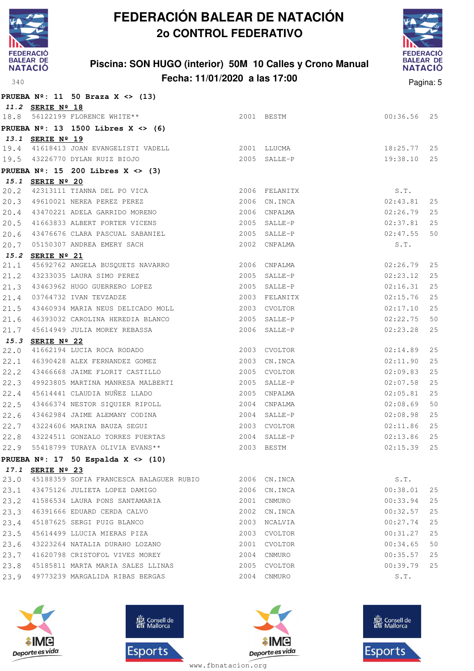

### **Piscina: SON HUGO (interior) 50M 10 Calles y Crono Manual Fecha: 11/01/2020 a las 17:00** Pagina: 5



|      |                  | PRUEBA $N^2$ : 11 50 Braza X <> (13)                       |      |                |               |    |
|------|------------------|------------------------------------------------------------|------|----------------|---------------|----|
|      | 11.2 SERIE Nº 18 |                                                            |      |                |               |    |
| 18.8 |                  | 56122199 FLORENCE WHITE**                                  |      | 2001 BESTM     | 00:36.56      | 25 |
|      |                  | PRUEBA $N^2$ : 13 1500 Libres X <> (6)                     |      |                |               |    |
|      | 13.1 SERIE Nº 19 |                                                            |      |                |               |    |
|      |                  | 19.4 41618413 JOAN EVANGELISTI VADELL 2001 LLUCMA          |      |                | 18:25.77      | 25 |
|      |                  | 19.5 43226770 DYLAN RUIZ BIOJO                             |      | 2005 SALLE-P   | 19:38.10      | 25 |
|      |                  | PRUEBA $N^{\circ}$ : 15 200 Libres X <> (3)                |      |                |               |    |
|      | 15.1 SERIE Nº 20 |                                                            |      |                |               |    |
| 20.2 |                  | 42313111 TIANNA DEL PO VICA                                |      | 2006 FELANITX  | S.T.          |    |
| 20.3 |                  | 49610021 NEREA PEREZ PEREZ                                 |      | 2006 CN. INCA  | 02:43.81      | 25 |
| 20.4 |                  | 43470221 ADELA GARRIDO MORENO                              |      | 2006 CNPALMA   | 02:26.79      | 25 |
| 20.5 |                  | 41663833 ALBERT PORTER VICENS                              |      | 2005 SALLE-P   | 02:37.81      | 25 |
| 20.6 |                  | 43476676 CLARA PASCUAL SABANIEL                            |      | 2005 SALLE-P   | 02:47.55      | 50 |
| 20.7 |                  | 05150307 ANDREA EMERY SACH                                 |      | 2002 CNPALMA   | S.T.          |    |
| 15.2 | SERIE Nº 21      |                                                            |      |                |               |    |
| 21.1 |                  | 45692762 ANGELA BUSQUETS NAVARRO 2006 CNPALMA              |      |                | 02:26.79      | 25 |
| 21.2 |                  |                                                            |      | $2005$ SALLE-P | 02:23.12      | 25 |
| 21.3 |                  | 43233035 LAURA SIMO IDINAL<br>43463962 HUGO GUERRERO LOPEZ |      | 2005 SALLE-P   | 02:16.31      | 25 |
| 21.4 |                  |                                                            |      | 2003 FELANITX  | 02:15.76      | 25 |
| 21.5 |                  | 43460934 MARIA NEUS DELICADO MOLL 2003 CVOLTOR             |      |                | 02:17.10      | 25 |
| 21.6 |                  | 46393032 CAROLINA HEREDIA BLANCO                           |      | 2005 SALLE-P   | 02:22.75      | 50 |
| 21.7 |                  | 45614949 JULIA MOREY REBASSA                               |      | 2006 SALLE-P   | 02:23.28      | 25 |
| 15.3 | SERIE Nº 22      |                                                            |      |                |               |    |
| 22.0 |                  | 41662194 LUCIA ROCA RODADO                                 |      | 2003 CVOLTOR   | 02:14.89      | 25 |
| 22.1 |                  | 46390428 ALEX FERNANDEZ GOMEZ 2003                         |      | CN.INCA        | 02:11.90      | 25 |
| 22.2 |                  | 43466668 JAIME FLORIT CASTILLO                             | 2005 | CVOLTOR        | 02:09.83      | 25 |
| 22.3 |                  | 49923805 MARTINA MANRESA MALBERTI                          |      | 2005 SALLE-P   | 02:07.58      | 25 |
| 22.4 |                  | 45614441 CLAUDIA NUÑEZ LLADO                               |      | 2005 CNPALMA   | 02:05.81      | 25 |
| 22.5 |                  | 43466374 NESTOR SIQUIER RIPOLL                             |      | 2004 CNPALMA   | 02:08.69      | 50 |
| 22.6 |                  | 43462984 JAIME ALEMANY CODINA                              |      | 2004 SALLE-P   | 02:08.98      | 25 |
| 22.7 |                  | 43224606 MARINA BAUZA SEGUI                                |      | 2003 CVOLTOR   | 02:11.86      | 25 |
| 22.8 |                  | 43224511 GONZALO TORRES PUERTAS                            |      | 2004 SALLE-P   | 02:13.86      | 25 |
| 22.9 |                  | 55418799 TURAYA OLIVIA EVANS**<br><b>2003 BESTM</b>        |      |                | $02:15.39$ 25 |    |
|      |                  | PRUEBA $N^{\circ}$ : 17 50 Espalda X <> (10)               |      |                |               |    |
|      | 17.1 SERIE Nº 23 |                                                            |      |                |               |    |
|      |                  | 23.0 45188359 SOFIA FRANCESCA BALAGUER RUBIO 2006 CN.INCA  |      |                | S.T.          |    |
|      |                  | 23.1 43475126 JULIETA LOPEZ DAMIGO                         |      | 2006 CN. INCA  | 00:38.01      | 25 |
| 23.2 |                  | 41586534 LAURA PONS SANTAMARIA                             | 2001 | CNMURO         | 00:33.94      | 25 |
| 23.3 |                  | 46391666 EDUARD CERDA CALVO                                |      | 2002 CN.INCA   | 00:32.57      | 25 |
| 23.4 |                  | 45187625 SERGI PUIG BLANCO                                 |      | 2003 NCALVIA   | 00:27.74      | 25 |
| 23.5 |                  | 45614499 LLUCIA MIERAS PIZA                                |      | 2003 CVOLTOR   | 00:31.27      | 25 |
| 23.6 |                  | 43223264 NATALIA DURAHO LOZANO                             |      | 2001 CVOLTOR   | 00:34.65      | 50 |
| 23.7 |                  | 41620798 CRISTOFOL VIVES MOREY                             |      | 2004 CNMURO    | 00:35.57      | 25 |
| 23.8 |                  | 45185811 MARTA MARIA SALES LLINAS                          |      | 2005 CVOLTOR   | 00:39.79      | 25 |
| 23.9 |                  | 49773239 MARGALIDA RIBAS BERGAS                            |      | 2004 CNMURO    | S.T.          |    |
|      |                  |                                                            |      |                |               |    |







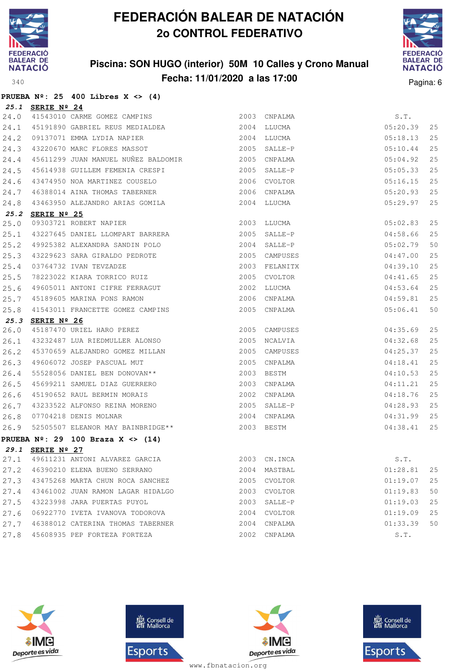

**PRUEBA Nº: 25 400 Libres X <> (4)**

# **FEDERACIÓN BALEAR DE NATACIÓN 2o CONTROL FEDERATIVO**

### **Piscina: SON HUGO (interior) 50M 10 Calles y Crono Manual Fecha: 11/01/2020 a las 17:00** Pagina: 6



|      | 25.1 SERIE Nº 24 |                                                                                                                                                      |                                                        |          |    |
|------|------------------|------------------------------------------------------------------------------------------------------------------------------------------------------|--------------------------------------------------------|----------|----|
| 24.0 |                  | SERIE Nº 24<br>41543010 CARME GOMEZ CAMPINS                                                                                                          | 2003 CNPALMA                                           | S.T.     |    |
| 24.1 |                  | 45191890 GABRIEL REUS MEDIALDEA                                                                                                                      | 2004 LLUCMA                                            | 05:20.39 | 25 |
| 24.2 |                  | 09137071 EMMA LYDIA NAPIER                                                                                                                           | 2004 LLUCMA                                            | 05:18.13 | 25 |
| 24.3 |                  | 43220670 MARC FLORES MASSOT 2005 SALLE-P                                                                                                             |                                                        | 05:10.44 | 25 |
| 24.4 |                  | 45611299 JUAN MANUEL NUÑEZ BALDOMIR<br><br>2005 CNPALMA                                                                                              |                                                        | 05:04.92 | 25 |
| 24.5 |                  | 45614938 GUILLEM FEMENIA CRESPI                                                                                                                      | 2005 SALLE-P                                           | 05:05.33 | 25 |
| 24.6 |                  | 43474950 NOA MARTINEZ COUSELO                                                                                                                        | 2006 CVOLTOR                                           | 05:16.15 | 25 |
| 24.7 |                  |                                                                                                                                                      | 2006 CNPALMA                                           | 05:20.93 | 25 |
| 24.8 |                  | 46388014 AINA THOMAS TABERNER<br>43463950 ALEJANDRO ARIAS GOMILA                                                                                     | 2004 LLUCMA                                            | 05:29.97 | 25 |
|      | 25.2 SERIE Nº 25 |                                                                                                                                                      |                                                        |          |    |
| 25.0 |                  | 09303721 ROBERT NAPIER                                                                                                                               | 2003 LLUCMA                                            | 05:02.83 | 25 |
| 25.1 |                  | 43227645 DANIEL LLOMPART BARRERA                                                                                                                     | $04:58.66$<br>$05:02.79$<br>$04:47.00$<br>2005 SALLE-P |          | 25 |
| 25.2 |                  | 49925382 ALEXANDRA SANDIN POLO                                                                                                                       | 2004 SALLE-P                                           |          | 50 |
| 25.3 |                  | 43229623 SARA GIRALDO PEDROTE                                                                                                                        | 2005 CAMPUSES                                          |          | 25 |
| 25.4 |                  |                                                                                                                                                      | 2003 FELANITX                                          | 04:39.10 | 25 |
| 25.5 |                  |                                                                                                                                                      | 2005 CVOLTOR                                           | 04:41.65 | 25 |
| 25.6 |                  | 03764732 IVAN TEVZADZE<br>78223022 KIARA TORRICO RUIZ<br>49605011 ANTONI CIFRE FERRAGUT<br>45189605 MARINA PONS RAMON<br>41543011 ERAMORTER SOUTE TI | 2002 LLUCMA                                            | 04:53.64 | 25 |
| 25.7 |                  | 45189605 MARINA PONS RAMON                                                                                                                           | 2006 CNPALMA                                           | 04:59.81 | 25 |
| 25.8 |                  | 41543011 FRANCETTE GOMEZ CAMPINS                                                                                                                     | 2005 CNPALMA                                           | 05:06.41 | 50 |
|      | 25.3 SERIE Nº 26 |                                                                                                                                                      |                                                        |          |    |
| 26.0 |                  | 45187470 URIEL HARO PEREZ<br>43232487 LUA RIEDMULLER ALONSO                                                                                          | 2005 CAMPUSES                                          | 04:35.69 | 25 |
| 26.1 |                  |                                                                                                                                                      | 2005 NCALVIA                                           | 04:32.68 | 25 |
| 26.2 |                  | 45370659 ALEJANDRO GOMEZ MILLAN                                                                                                                      | 2005 CAMPUSES                                          | 04:25.37 | 25 |
| 26.3 |                  | 49606072 JOSEP PASCUAL MUT                                                                                                                           | 2005 CNPALMA                                           | 04:18.41 | 25 |
| 26.4 |                  | 55528056 DANIEL BEN DONOVAN**                                                                                                                        | 2003 BESTM                                             | 04:10.53 | 25 |
| 26.5 |                  | 45699211 SAMUEL DIAZ GUERRERO<br>45190652 RAUL BERMIN MORAIS<br>1000055555                                                                           | 2003 CNPALMA                                           | 04:11.21 | 25 |
| 26.6 |                  |                                                                                                                                                      | 2002 CNPALMA                                           | 04:18.76 | 25 |
| 26.7 |                  | 43233522 ALFONSO REINA MORENO                                                                                                                        | 2005 SALLE-P                                           | 04:28.93 | 25 |
|      |                  | 19299922 ALLONDO NEINA NONENO<br>07704218 DENIS MOLNAR<br>52505507 ELEANOR MAY BAINBRIDGE**<br>26.8 07704218 DENIS MOLNAR                            | 2004 CNPALMA                                           | 04:31.99 | 25 |
| 26.9 |                  |                                                                                                                                                      | 2003 BESTM                                             | 04:38.41 | 25 |
|      |                  | PRUEBA $N^2$ : 29 100 Braza X <> (14)                                                                                                                |                                                        |          |    |
|      | 29.1 SERIE Nº 27 |                                                                                                                                                      |                                                        |          |    |
|      |                  | 27.1 49611231 ANTONI ALVAREZ GARCIA 2003 CN.INCA S.T.                                                                                                |                                                        |          |    |
|      |                  | 27.2 46390210 ELENA BUENO SERRANO                                                                                                                    | 2004 MASTBAL                                           | 01:28.81 | 25 |
|      |                  | 27.3 43475268 MARTA CHUN ROCA SANCHEZ                                                                                                                | 2005 CVOLTOR                                           | 01:19.07 | 25 |
|      |                  | 27.4 43461002 JUAN RAMON LAGAR HIDALGO                                                                                                               | 2003 CVOLTOR                                           | 01:19.83 | 50 |
|      |                  | 27.5 43223998 JARA PUERTAS PUYOL                                                                                                                     | 2003 SALLE-P                                           | 01:19.03 | 25 |
|      |                  | 27.6 06922770 IVETA IVANOVA TODOROVA                                                                                                                 | 2004 CVOLTOR                                           | 01:19.09 | 25 |
|      |                  | 27.7 46388012 CATERINA THOMAS TABERNER                                                                                                               | 2004 CNPALMA                                           | 01:33.39 | 50 |
|      |                  | 27.8 45608935 PEP FORTEZA FORTEZA                                                                                                                    | 2002 CNPALMA                                           | S.T.     |    |







**感** Consell de Esports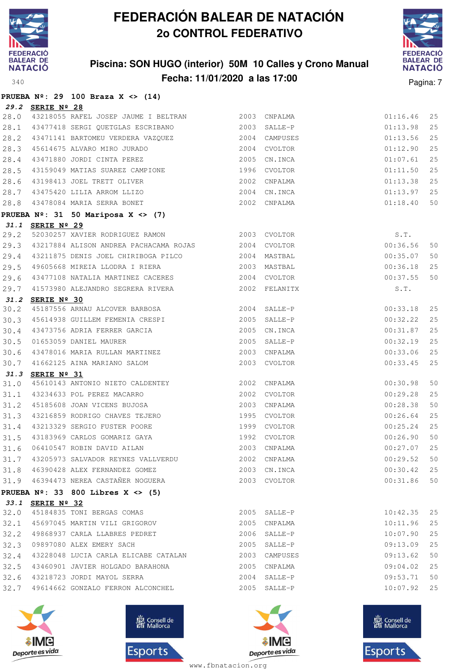

**PRUEBA Nº: 29 100 Braza X <> (14)**

## **FEDERACIÓN BALEAR DE NATACIÓN 2o CONTROL FEDERATIVO**

### **Piscina: SON HUGO (interior) 50M 10 Calles y Crono Manual Fecha: 11/01/2020 a las 17:00** Pagina: 7



| 29.2 | SERIE Nº 28      |                                                                                                                                                  |              |                               |                      |          |
|------|------------------|--------------------------------------------------------------------------------------------------------------------------------------------------|--------------|-------------------------------|----------------------|----------|
| 28.0 |                  | 43218055 RAFEL JOSEP JAUME I BELTRAN 2003 CNPALMA                                                                                                |              |                               | 01:16.46             | 25       |
| 28.1 |                  | 43477418 SERGI QUETGLAS ESCRIBANO 43477418 SALLE-P                                                                                               |              |                               | 01:13.98             | 25       |
| 28.2 |                  | 43471141 BARTOMEU VERDERA VAZQUEZ 61 2004 CAMPUSES<br>45614675 ALVARO MIRO JURADO 62004 2004 CVOLTOR<br>43471880 JORDI CINTA PEREZ 62005 CN.INCA |              |                               | 01:13.56             | 25       |
| 28.3 |                  |                                                                                                                                                  |              |                               | 01:12.90             | 25       |
| 28.4 |                  |                                                                                                                                                  |              |                               | 01:07.61             | 25       |
| 28.5 |                  | 43159049 MATIAS SUAREZ CAMPIONE 1996 CVOLTOR                                                                                                     |              |                               | 01:11.50             | 25       |
| 28.6 |                  | 43198413 JOEL TRETT OLIVER                                                                                                                       |              | 2002 CNPALMA                  | 01:13.38             | 25       |
| 28.7 |                  | 43475420 LILIA ARROM LLIZO                                                                                                                       |              | 2004 CN.INCA                  | 01:13.97             | 25       |
| 28.8 |                  | 43478084 MARIA SERRA BONET                                                                                                                       |              | 2002 CNPALMA                  | 01:18.40             | 50       |
|      |                  | PRUEBA $N^{\circ}$ : 31 50 Mariposa X <> (7)                                                                                                     |              |                               |                      |          |
|      | 31.1 SERIE Nº 29 |                                                                                                                                                  |              |                               |                      |          |
| 29.2 |                  | 52030257 XAVIER RODRIGUEZ RAMON 2003 CVOLTOR                                                                                                     |              |                               | S.T.                 |          |
| 29.3 |                  | 43217884 ALISON ANDREA PACHACAMA ROJAS 2004 CVOLTOR                                                                                              |              |                               | 00:36.56             | 50       |
| 29.4 |                  | 43211875 DENIS JOEL CHIRIBOGA PILCO 2004 MASTBAL                                                                                                 |              |                               | 00:35.07             | 50       |
| 29.5 |                  | 49605668 MIREIA LLODRA I RIERA                                                                                                                   | 2003 MASTBAL |                               | 00:36.18             | 25       |
| 29.6 |                  | 43477108 NATALIA MARTINEZ CACERES                                                                                                                |              | 2004 CVOLTOR                  | 00:37.55             | 50       |
| 29.7 |                  | 41573980 ALEJANDRO SEGRERA RIVERA 2002 FELANITX                                                                                                  |              |                               | S.T.                 |          |
| 31.2 | SERIE Nº 30      |                                                                                                                                                  |              |                               |                      |          |
| 30.2 |                  | 45187556 ARNAU ALCOVER BARBOSA 2004 SALLE-P                                                                                                      |              |                               | 00:33.18             | 25       |
| 30.3 |                  | 45614938 GUILLEM FEMENIA CRESPI 2005 SALLE-P                                                                                                     |              |                               | 00:32.22             | 25       |
| 30.4 |                  | 43473756 ADRIA FERRER GARCIA<br>01653059 DANIEL MAURER                                                                                           |              | 2005 CN.INCA                  | 00:31.87             | 25       |
| 30.5 |                  |                                                                                                                                                  |              | 2005 SALLE-P                  | 00:32.19             | 25       |
| 30.6 |                  | 43478016 MARIA RULLAN MARTINEZ 2003 CNPALMA                                                                                                      |              |                               | 00:33.06             | 25       |
| 30.7 |                  | 41662125 AINA MARIANO SALOM                                                                                                                      |              | 2003 CVOLTOR                  | 00:33.45             | 25       |
| 31.3 | SERIE Nº 31      |                                                                                                                                                  |              |                               |                      |          |
| 31.0 |                  |                                                                                                                                                  |              |                               | 00:30.98             | 50       |
| 31.1 |                  | 2002 CVOLTOR<br>43234633 POL PEREZ MACARRO                                                                                                       |              |                               | 00:29.28             | 25       |
| 31.2 |                  | 45185608 JOAN VICENS BUJOSA                                                                                                                      |              | 2003 CNPALMA                  | 00:28.38             | 50       |
| 31.3 |                  | 43216859 RODRIGO CHAVES TEJERO<br>43213329 SERGIO FUSTER POORE 1999 CVOLTOR                                                                      |              | 1995 CVOLTOR                  | 00:26.64             | 25       |
| 31.4 |                  |                                                                                                                                                  |              |                               | 00:25.24             | 25<br>50 |
| 31.5 |                  | 06410547 ROBIN DAVID AILAN                                                                                                                       |              |                               | 00:26.90             |          |
| 31.6 |                  | 31.7 43205973 SALVADOR REYNES VALLVERDU 2002 CNPALMA                                                                                             |              | 2003 CNPALMA                  | 00:27.07             | 25       |
|      |                  |                                                                                                                                                  |              |                               | $00:29.52$ 50        |          |
|      |                  | 31.8 46390428 ALEX FERNANDEZ GOMEZ<br>31.9 46394473 NEREA CASTAÑER NOGUERA                                                                       |              | 2003 CN. INCA<br>2003 CVOLTOR | 00:30.42<br>00:31.86 | 25<br>50 |
|      |                  |                                                                                                                                                  |              |                               |                      |          |
|      |                  | PRUEBA $N^{\circ}$ : 33 800 Libres X <> (5)                                                                                                      |              |                               |                      |          |
| 32.0 | 33.1 SERIE Nº 32 | 45184835 TONI BERGAS COMAS                                                                                                                       |              | 2005 SALLE-P                  | 10:42.35             | 25       |
| 32.1 |                  | 45697045 MARTIN VILI GRIGOROV                                                                                                                    |              | 2005 CNPALMA                  | 10:11.96             | 25       |
| 32.2 |                  | 49868937 CARLA LLABRES PEDRET                                                                                                                    |              | 2006 SALLE-P                  | 10:07.90             | 25       |
|      |                  | 32.3 09897080 ALEX EMERY SACH                                                                                                                    |              | 2005 SALLE-P                  | 09:13.09             | 25       |
|      |                  | 32.4 43228048 LUCIA CARLA ELICABE CATALAN                                                                                                        |              | 2003 CAMPUSES                 | 09:13.62             | 50       |
|      |                  | 32.5 43460901 JAVIER HOLGADO BARAHONA                                                                                                            | 2005         | CNPALMA                       | 09:04.02             | 25       |
|      |                  | 32.6 43218723 JORDI MAYOL SERRA                                                                                                                  |              | 2004 SALLE-P                  | 09:53.71             | 50       |
|      |                  | 32.7 49614662 GONZALO FERRON ALCONCHEL                                                                                                           |              | 2005 SALLE-P                  | 10:07.92             | 25       |
|      |                  |                                                                                                                                                  |              |                               |                      |          |
|      |                  |                                                                                                                                                  |              |                               |                      |          |
|      |                  |                                                                                                                                                  |              |                               |                      |          |







Sign Consell de Esports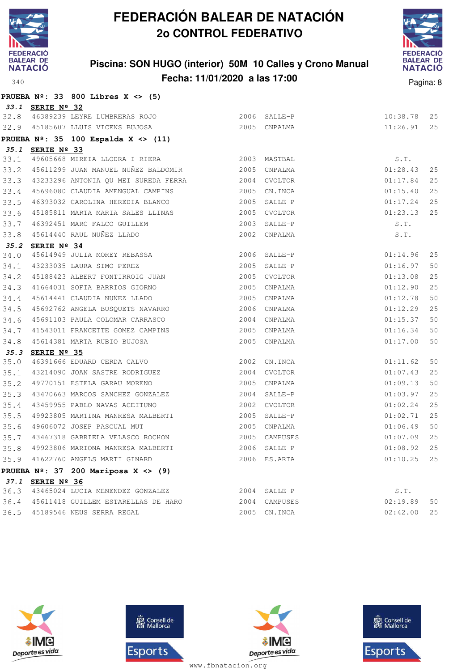

### **Piscina: SON HUGO (interior) 50M 10 Calles y Crono Manual Fecha: 11/01/2020 a las 17:00** Pagina: 8



|      |                  | PRUEBA $N^{\circ}$ : 33 800 Libres X <> (5)                                                                                                                                              |                |               |               |    |
|------|------------------|------------------------------------------------------------------------------------------------------------------------------------------------------------------------------------------|----------------|---------------|---------------|----|
|      | 33.1 SERIE Nº 32 |                                                                                                                                                                                          |                |               |               |    |
|      |                  | 32.8 46389239 LEYRE LUMBRERAS ROJO                                                                                                                                                       |                | 2006 SALLE-P  | 10:38.78      | 25 |
|      |                  | 32.9 45185607 LLUIS VICENS BUJOSA                                                                                                                                                        |                | 2005 CNPALMA  | 11:26.91      | 25 |
|      |                  | PRUEBA $N^{\circ}$ : 35 100 Espalda X <> (11)                                                                                                                                            |                |               |               |    |
|      | 35.1 SERIE Nº 33 |                                                                                                                                                                                          |                |               |               |    |
|      |                  | 33.1 49605668 MIREIA LLODRA I RIERA 2003 MASTBAL                                                                                                                                         |                |               | S.T.          |    |
|      |                  | 33.2 45611299 JUAN MANUEL NUÑEZ BALDOMIR 2005 CNPALMA                                                                                                                                    |                |               | 01:28.43      | 25 |
| 33.3 |                  | 43233296 ANTONIA QU MEI SUREDA FERRA 2004 CVOLTOR                                                                                                                                        |                |               | 01:17.84      | 25 |
| 33.4 |                  | 45696080 CLAUDIA AMENGUAL CAMPINS 2005 CN.INCA                                                                                                                                           |                |               | 01:15.40      | 25 |
| 33.5 |                  | 46393032 CAROLINA HEREDIA BLANCO                                                                                                                                                         | $2005$ SALLE-P |               | 01:17.24      | 25 |
| 33.6 |                  | 45185811 MARTA MARIA SALES LLINAS                                                                                                                                                        |                | 2005 CVOLTOR  | 01:23.13      | 25 |
| 33.7 |                  | 46392451 MARC FALCO GUILLEM                                                                                                                                                              |                | 2003 SALLE-P  | S.T.          |    |
| 33.8 |                  | 45614440 RAUL NUÑEZ LLADO                                                                                                                                                                |                | 2002 CNPALMA  | S.T.          |    |
|      | 35.2 SERIE Nº 34 |                                                                                                                                                                                          |                |               |               |    |
| 34.0 |                  | SERIE Nº 34<br>45614949 JULIA MOREY REBASSA<br>43233035 LAURA SIMO PEREZ                                                                                                                 |                | 2006 SALLE-P  | 01:14.96      | 25 |
| 34.1 |                  |                                                                                                                                                                                          |                | 2005 SALLE-P  | 01:16.97      | 50 |
| 34.2 |                  | 45188423 ALBERT FONTIRROIG JUAN 2005 CVOLTOR                                                                                                                                             |                |               | 01:13.08      | 25 |
| 34.3 |                  | 41664031 SOFIA BARRIOS GIORNO                                                                                                                                                            |                | 2005 CNPALMA  | 01:12.90      | 25 |
| 34.4 |                  | 45614441 CLAUDIA NUÑEZ LLADO                                                                                                                                                             |                | 2005 CNPALMA  | 01:12.78      | 50 |
| 34.5 |                  | 45692762 ANGELA BUSQUETS NAVARRO                                                                                                                                                         |                | 2006 CNPALMA  | 01:12.29      | 25 |
| 34.6 |                  |                                                                                                                                                                                          |                |               | 01:15.37      | 50 |
| 34.7 |                  | ${\small \begin{tabular}{lcccc} \bf 41543011 & FRANCETTE & GOMEZ & CAMPINS & & & & 2005 & CNPALMA \\ \bf 45614381 & MARTA & RUBIO & BUJOSA & & & & & & 2005 & CNPALMA \\ \end{tabular}}$ |                |               | 01:16.34      | 50 |
| 34.8 |                  |                                                                                                                                                                                          |                |               | 01:17.00      | 50 |
| 35.3 | SERIE Nº 35      |                                                                                                                                                                                          |                |               |               |    |
| 35.0 |                  | 46391666 EDUARD CERDA CALVO 2002 CN.INCA                                                                                                                                                 |                |               | 01:11.62      | 50 |
| 35.1 |                  | 43214090 JOAN SASTRE RODRIGUEZ 2004 CVOLTOR                                                                                                                                              |                |               | 01:07.43      | 25 |
| 35.2 |                  | 49770151 ESTELA GARAU MORENO                                                                                                                                                             | 2005           | CNPALMA       | 01:09.13      | 50 |
| 35.3 |                  | 43470663 MARCOS SANCHEZ GONZALEZ                                                                                                                                                         | 2004           | SALLE-P       | 01:03.97      | 25 |
| 35.4 |                  | 43459955 PABLO NAVAS ACEITUNO                                                                                                                                                            |                | 2002 CVOLTOR  | 01:02.24      | 25 |
| 35.5 |                  | 49923805 MARTINA MANRESA MALBERTI                                                                                                                                                        | 2005           | SALLE-P       | 01:02.71      | 25 |
| 35.6 |                  | 49606072 JOSEP PASCUAL MUT                                                                                                                                                               | 2005 CNPALMA   |               | 01:06.49      | 50 |
| 35.7 |                  | 43467318 GABRIELA VELASCO ROCHON                                                                                                                                                         |                | 2005 CAMPUSES | 01:07.09      | 25 |
| 35.8 |                  | 49923806 MARIONA MANRESA MALBERTI                                                                                                                                                        |                | 2006 SALLE-P  | 01:08.92      | 25 |
|      |                  | 35.9 41622760 ANGELS MARTI GINARD                                                                                                                                                        |                | 2006 ES.ARTA  | $01:10.25$ 25 |    |
|      |                  | PRUEBA $N^{\circ}$ : 37 200 Mariposa X <> (9)                                                                                                                                            |                |               |               |    |
|      | 37.1 SERIE Nº 36 |                                                                                                                                                                                          |                |               |               |    |
|      |                  | 36.3 43465024 LUCIA MENENDEZ GONZALEZ                                                                                                                                                    |                | 2004 SALLE-P  | S.T.          |    |
|      |                  | 36.4 45611418 GUILLEM ESTARELLAS DE HARO                                                                                                                                                 |                | 2004 CAMPUSES | 02:19.89      | 50 |
|      |                  | 36.5 45189546 NEUS SERRA REGAL                                                                                                                                                           |                | 2005 CN.INCA  | 02:42.00 25   |    |







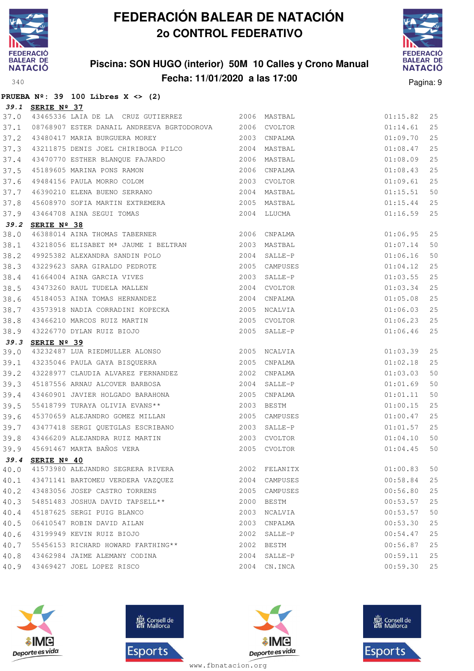

### **Piscina: SON HUGO (interior) 50M 10 Calles y Crono Manual Fecha: 11/01/2020 a las 17:00** Pagina: 9



|      |                  | PRUEBA $N^{\circ}$ : 39 100 Libres X <> (2)                                                                                                                                                                                                      |      |               |          |    |
|------|------------------|--------------------------------------------------------------------------------------------------------------------------------------------------------------------------------------------------------------------------------------------------|------|---------------|----------|----|
|      | 39.1 SERIE Nº 37 |                                                                                                                                                                                                                                                  |      |               |          |    |
| 37.0 |                  | 43465336 LAIA DE LA CRUZ GUTIERREZ 6000 2006 MASTBAL                                                                                                                                                                                             |      |               | 01:15.82 | 25 |
| 37.1 |                  | 08768907 ESTER DANAIL ANDREEVA BGRTODOROVA 2006 CVOLTOR                                                                                                                                                                                          |      |               | 01:14.61 | 25 |
| 37.2 |                  | 2003 CNPALMA<br>43480417 MARIA BURGUERA MOREY                                                                                                                                                                                                    |      |               | 01:09.70 | 25 |
| 37.3 |                  | 43211875 DENIS JOEL CHIRIBOGA PILCO 2004 MASTBAL                                                                                                                                                                                                 |      |               | 01:08.47 | 25 |
| 37.4 |                  | 43470770 ESTHER BLANQUE FAJARDO 6 2006 MASTBAL                                                                                                                                                                                                   |      |               | 01:08.09 | 25 |
| 37.5 |                  |                                                                                                                                                                                                                                                  |      |               | 01:08.43 | 25 |
| 37.6 |                  |                                                                                                                                                                                                                                                  |      |               | 01:09.61 | 25 |
| 37.7 |                  |                                                                                                                                                                                                                                                  |      |               | 01:15.51 | 50 |
| 37.8 |                  |                                                                                                                                                                                                                                                  |      |               | 01:15.44 | 25 |
| 37.9 |                  |                                                                                                                                                                                                                                                  |      |               | 01:16.59 | 25 |
|      | 39.2 SERIE Nº 38 | 45189605 MARINA PONS RAMON<br>49484156 PAULA MORRO COLOM<br>46390210 ELENA BUENO SERRANO<br>45608970 SOFIA MARTIN EXTREMERA<br>43464708 AINA SEGUI TOMAS<br>2004 MASTBAL<br>43464708 AINA SEGUI TOMAS<br>2004 LLUCMA<br>2004 LLUCMA<br>2004 LLUC |      |               |          |    |
| 38.0 |                  | 46388014 AINA THOMAS TABERNER 2006 CNPALMA                                                                                                                                                                                                       |      |               | 01:06.95 | 25 |
| 38.1 |                  | 43218056 ELISABET Mª JAUME I BELTRAN 2003 MASTBAL                                                                                                                                                                                                |      |               | 01:07.14 | 50 |
| 38.2 |                  | 49925382 ALEXANDRA SANDIN POLO 2004 SALLE-P                                                                                                                                                                                                      |      |               | 01:06.16 | 50 |
| 38.3 |                  | 43229623 SARA GIRALDO PEDROTE 2005 CAMPUSES                                                                                                                                                                                                      |      |               | 01:04.12 | 25 |
| 38.4 |                  |                                                                                                                                                                                                                                                  |      | SALLE-P       | 01:03.55 | 25 |
| 38.5 |                  |                                                                                                                                                                                                                                                  |      | 2004 CVOLTOR  | 01:03.34 | 25 |
| 38.6 |                  |                                                                                                                                                                                                                                                  |      |               | 01:05.08 | 25 |
| 38.7 |                  | 43573918 NADIA CORRADINI KOPECKA 2005 NCALVIA                                                                                                                                                                                                    |      |               | 01:06.03 | 25 |
| 38.8 |                  |                                                                                                                                                                                                                                                  |      |               | 01:06.23 | 25 |
| 38.9 |                  | 43466210 MARCOS RUIZ MARTIN<br>43226770 DYLAN RUIZ BIOJO<br><b>SEPTE Nº 20</b><br>SEPTE Nº 20                                                                                                                                                    |      |               | 01:06.46 | 25 |
|      | 39.3 SERIE Nº 39 |                                                                                                                                                                                                                                                  |      |               |          |    |
| 39.0 |                  | 43232487 LUA RIEDMULLER ALONSO 2005 NCALVIA                                                                                                                                                                                                      |      |               | 01:03.39 | 25 |
| 39.1 |                  | 43235046 PAULA GAYA BISQUERRA 2005 CNPALMA                                                                                                                                                                                                       |      |               | 01:02.18 | 25 |
| 39.2 |                  |                                                                                                                                                                                                                                                  |      |               | 01:03.03 | 50 |
| 39.3 |                  |                                                                                                                                                                                                                                                  |      |               | 01:01.69 | 50 |
| 39.4 |                  |                                                                                                                                                                                                                                                  |      |               | 01:01.11 | 50 |
| 39.5 |                  | 55418799 TURAYA OLIVIA EVANS** 2003 BESTM                                                                                                                                                                                                        |      |               | 01:00.15 | 25 |
| 39.6 |                  | 45370659 ALEJANDRO GOMEZ MILLAN 2005 CAMPUSES                                                                                                                                                                                                    |      |               | 01:00.47 | 25 |
|      |                  | 39.7 43477418 SERGI QUETGLAS ESCRIBANO 2003 SALLE-P                                                                                                                                                                                              |      |               | 01:01.57 | 25 |
| 39.8 |                  |                                                                                                                                                                                                                                                  |      |               | 01:04.10 | 50 |
|      |                  | 39.9 45691467 MARTA BAÑOS VERA 2005 CVOLTOR                                                                                                                                                                                                      |      |               | 01:04.45 | 50 |
|      | 39.4 SERIE Nº 40 |                                                                                                                                                                                                                                                  |      |               |          |    |
| 40.0 |                  | 41573980 ALEJANDRO SEGRERA RIVERA                                                                                                                                                                                                                |      | 2002 FELANITX | 01:00.83 | 50 |
| 40.1 |                  | 43471141 BARTOMEU VERDERA VAZQUEZ                                                                                                                                                                                                                |      | 2004 CAMPUSES | 00:58.84 | 25 |
| 40.2 |                  | 43483056 JOSEP CASTRO TORRENS                                                                                                                                                                                                                    |      | 2005 CAMPUSES | 00:56.80 | 25 |
| 40.3 |                  | 54851483 JOSHUA DAVID TAPSELL**                                                                                                                                                                                                                  | 2000 | BESTM         | 00:53.57 | 25 |
| 40.4 |                  | 45187625 SERGI PUIG BLANCO                                                                                                                                                                                                                       | 2003 | NCALVIA       | 00:53.57 | 50 |
| 40.5 |                  | 06410547 ROBIN DAVID AILAN                                                                                                                                                                                                                       | 2003 | CNPALMA       | 00:53.30 | 25 |
| 40.6 |                  | 43199949 KEVIN RUIZ BIOJO                                                                                                                                                                                                                        |      | 2002 SALLE-P  | 00:54.47 | 25 |
| 40.7 |                  | 55456153 RICHARD HOWARD FARTHING**                                                                                                                                                                                                               |      | 2002 BESTM    | 00:56.87 | 25 |
| 40.8 |                  | 43462984 JAIME ALEMANY CODINA                                                                                                                                                                                                                    |      | 2004 SALLE-P  | 00:59.11 | 25 |
| 40.9 |                  | 43469427 JOEL LOPEZ RISCO                                                                                                                                                                                                                        |      | 2004 CN.INCA  | 00:59.30 | 25 |







**感** Consell de Esports